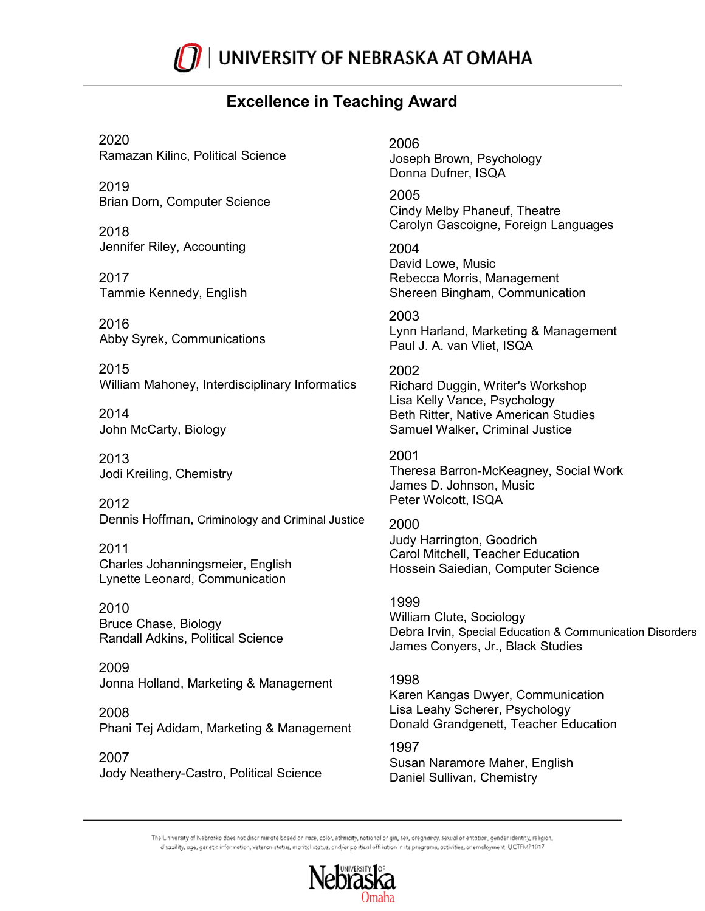

# **Excellence in Teaching Award**

2020 Ramazan Kilinc, Political Science

2019 Brian Dorn, Computer Science

2018 Jennifer Riley, Accounting

2017 Tammie Kennedy, English

2016 Abby Syrek, Communications

2015 William Mahoney, Interdisciplinary Informatics

2014 John McCarty, Biology

2013 Jodi Kreiling, Chemistry

2012 Dennis Hoffman, Criminology and Criminal Justice

2011 Charles Johanningsmeier, English Lynette Leonard, Communication

2010 Bruce Chase, Biology Randall Adkins, Political Science

2009 Jonna Holland, Marketing & Management

2008 Phani Tej Adidam, Marketing & Management

2007 Jody Neathery-Castro, Political Science 2006 Joseph Brown, Psychology Donna Dufner, ISQA

2005 Cindy Melby Phaneuf, Theatre Carolyn Gascoigne, Foreign Languages

2004 David Lowe, Music Rebecca Morris, Management Shereen Bingham, Communication

2003 Lynn Harland, Marketing & Management Paul J. A. van Vliet, ISQA

2002 Richard Duggin, Writer's Workshop Lisa Kelly Vance, Psychology Beth Ritter, Native American Studies Samuel Walker, Criminal Justice

2001 Theresa Barron-McKeagney, Social Work James D. Johnson, Music Peter Wolcott, ISQA

2000 Judy Harrington, Goodrich Carol Mitchell, Teacher Education Hossein Saiedian, Computer Science

1999 William Clute, Sociology Debra Irvin, Special Education & Communication Disorders James Conyers, Jr., Black Studies

1998 Karen Kangas Dwyer, Communication Lisa Leahy Scherer, Psychology Donald Grandgenett, Teacher Education

1997 Susan Naramore Maher, English Daniel Sullivan, Chemistry

The University of Nebrasko does not discriminate bosed on race, color, ethnicity, notional origin, sex, oregnancy, sexual or entation, gender identity, religion, d'sability, age, genetic information, veteran status, marital status, and/or political offiliation in its programs, activities, or emoloyment UCTFMP1017

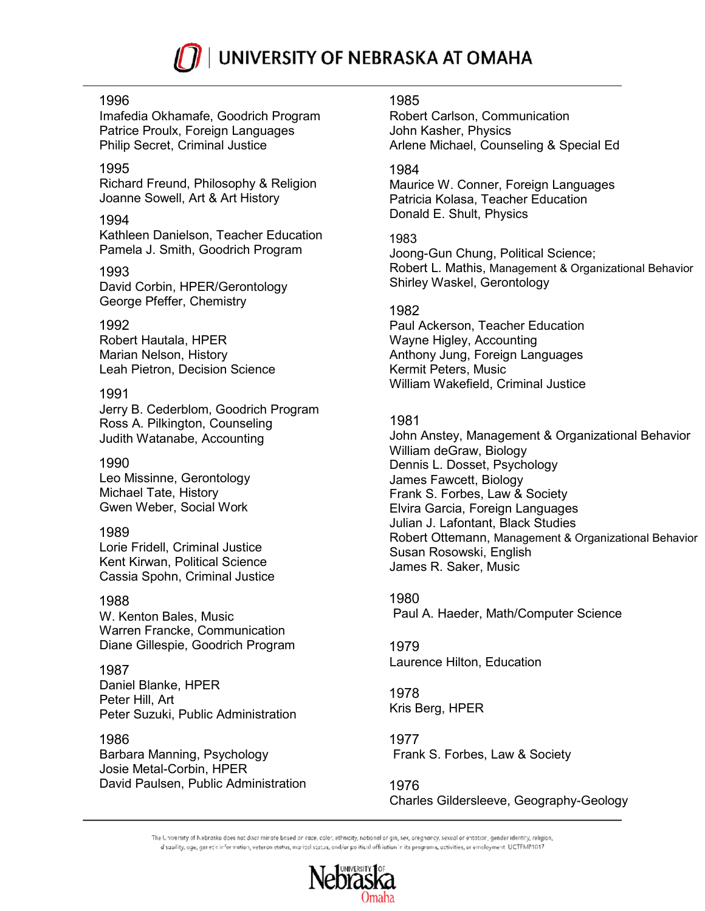

### 1996

Imafedia Okhamafe, Goodrich Program Patrice Proulx, Foreign Languages Philip Secret, Criminal Justice

### 1995

Richard Freund, Philosophy & Religion Joanne Sowell, Art & Art History

### 1994

Kathleen Danielson, Teacher Education Pamela J. Smith, Goodrich Program

#### 1993

David Corbin, HPER/Gerontology George Pfeffer, Chemistry

# 1992

Robert Hautala, HPER Marian Nelson, History Leah Pietron, Decision Science

# 1991

Jerry B. Cederblom, Goodrich Program Ross A. Pilkington, Counseling Judith Watanabe, Accounting

### 1990

Leo Missinne, Gerontology Michael Tate, History Gwen Weber, Social Work

# 1989

Lorie Fridell, Criminal Justice Kent Kirwan, Political Science Cassia Spohn, Criminal Justice

#### 1988

W. Kenton Bales, Music Warren Francke, Communication Diane Gillespie, Goodrich Program

#### 1987

Daniel Blanke, HPER Peter Hill, Art Peter Suzuki, Public Administration

# 1986

Barbara Manning, Psychology Josie Metal-Corbin, HPER David Paulsen, Public Administration

#### 1985

Robert Carlson, Communication John Kasher, Physics Arlene Michael, Counseling & Special Ed

### 1984

Maurice W. Conner, Foreign Languages Patricia Kolasa, Teacher Education Donald E. Shult, Physics

### 1983

Joong-Gun Chung, Political Science; Robert L. Mathis, Management & Organizational Behavior Shirley Waskel, Gerontology

# 1982

Paul Ackerson, Teacher Education Wayne Higley, Accounting Anthony Jung, Foreign Languages Kermit Peters, Music William Wakefield, Criminal Justice

# 1981

John Anstey, Management & Organizational Behavior William deGraw, Biology Dennis L. Dosset, Psychology James Fawcett, Biology Frank S. Forbes, Law & Society Elvira Garcia, Foreign Languages Julian J. Lafontant, Black Studies Robert Ottemann, Management & Organizational Behavior Susan Rosowski, English James R. Saker, Music

1980 Paul A. Haeder, Math/Computer Science

# 1979 Laurence Hilton, Education

1978 Kris Berg, HPER

1977 Frank S. Forbes, Law & Society

1976 Charles Gildersleeve, Geography-Geology

The University of Nebrasko does not discriminate bosed on race, color, ethnicity, notional origin, sex, oregnancy, sexual or entation, gender identity, religion, d'sability, age, genetic information, veteran status, marital status, and/or political offiliation in its programs, activities, or emoloyment UCTFMP1017